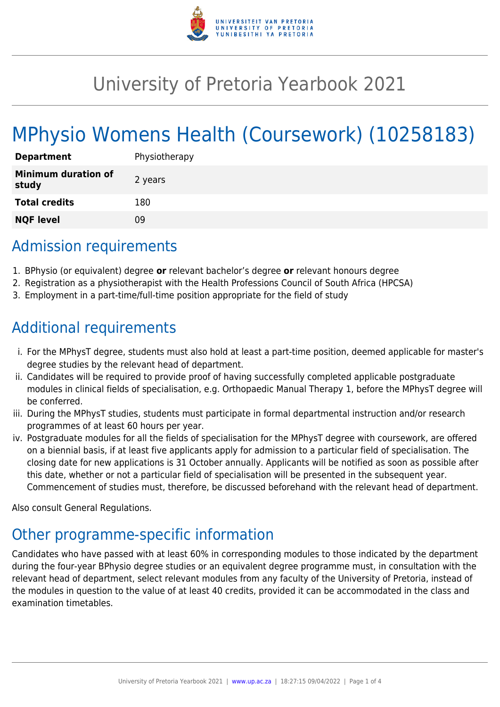

# University of Pretoria Yearbook 2021

# MPhysio Womens Health (Coursework) (10258183)

| <b>Department</b>                   | Physiotherapy |
|-------------------------------------|---------------|
| <b>Minimum duration of</b><br>study | 2 years       |
| <b>Total credits</b>                | 180           |
| <b>NQF level</b>                    | ΩÓ            |

### Admission requirements

- 1. BPhysio (or equivalent) degree **or** relevant bachelor's degree **or** relevant honours degree
- 2. Registration as a physiotherapist with the Health Professions Council of South Africa (HPCSA)
- 3. Employment in a part-time/full-time position appropriate for the field of study

### Additional requirements

- i. For the MPhysT degree, students must also hold at least a part-time position, deemed applicable for master's degree studies by the relevant head of department.
- ii. Candidates will be required to provide proof of having successfully completed applicable postgraduate modules in clinical fields of specialisation, e.g. Orthopaedic Manual Therapy 1, before the MPhysT degree will be conferred.
- iii. During the MPhysT studies, students must participate in formal departmental instruction and/or research programmes of at least 60 hours per year.
- iv. Postgraduate modules for all the fields of specialisation for the MPhysT degree with coursework, are offered on a biennial basis, if at least five applicants apply for admission to a particular field of specialisation. The closing date for new applications is 31 October annually. Applicants will be notified as soon as possible after this date, whether or not a particular field of specialisation will be presented in the subsequent year. Commencement of studies must, therefore, be discussed beforehand with the relevant head of department.

Also consult General Regulations.

## Other programme-specific information

Candidates who have passed with at least 60% in corresponding modules to those indicated by the department during the four-year BPhysio degree studies or an equivalent degree programme must, in consultation with the relevant head of department, select relevant modules from any faculty of the University of Pretoria, instead of the modules in question to the value of at least 40 credits, provided it can be accommodated in the class and examination timetables.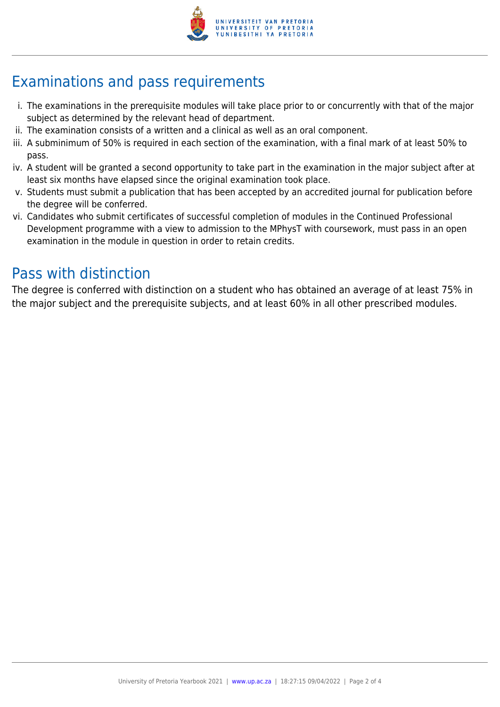

# Examinations and pass requirements

- i. The examinations in the prerequisite modules will take place prior to or concurrently with that of the major subject as determined by the relevant head of department.
- ii. The examination consists of a written and a clinical as well as an oral component.
- iii. A subminimum of 50% is required in each section of the examination, with a final mark of at least 50% to pass.
- iv. A student will be granted a second opportunity to take part in the examination in the major subject after at least six months have elapsed since the original examination took place.
- v. Students must submit a publication that has been accepted by an accredited journal for publication before the degree will be conferred.
- vi. Candidates who submit certificates of successful completion of modules in the Continued Professional Development programme with a view to admission to the MPhysT with coursework, must pass in an open examination in the module in question in order to retain credits.

### Pass with distinction

The degree is conferred with distinction on a student who has obtained an average of at least 75% in the major subject and the prerequisite subjects, and at least 60% in all other prescribed modules.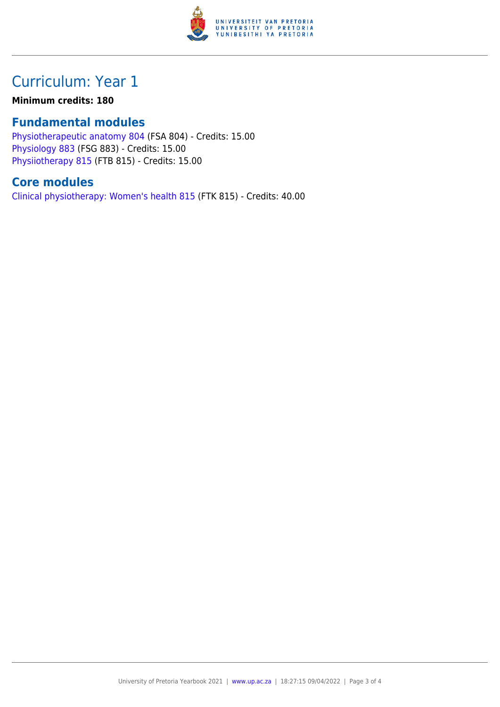

# Curriculum: Year 1

#### **Minimum credits: 180**

#### **Fundamental modules**

[Physiotherapeutic anatomy 804](https://www.up.ac.za/yearbooks/2021/modules/view/FSA 804) (FSA 804) - Credits: 15.00 [Physiology 883](https://www.up.ac.za/yearbooks/2021/modules/view/FSG 883) (FSG 883) - Credits: 15.00 [Physiiotherapy 815](https://www.up.ac.za/yearbooks/2021/modules/view/FTB 815) (FTB 815) - Credits: 15.00

### **Core modules**

[Clinical physiotherapy: Women's health 815](https://www.up.ac.za/yearbooks/2021/modules/view/FTK 815) (FTK 815) - Credits: 40.00